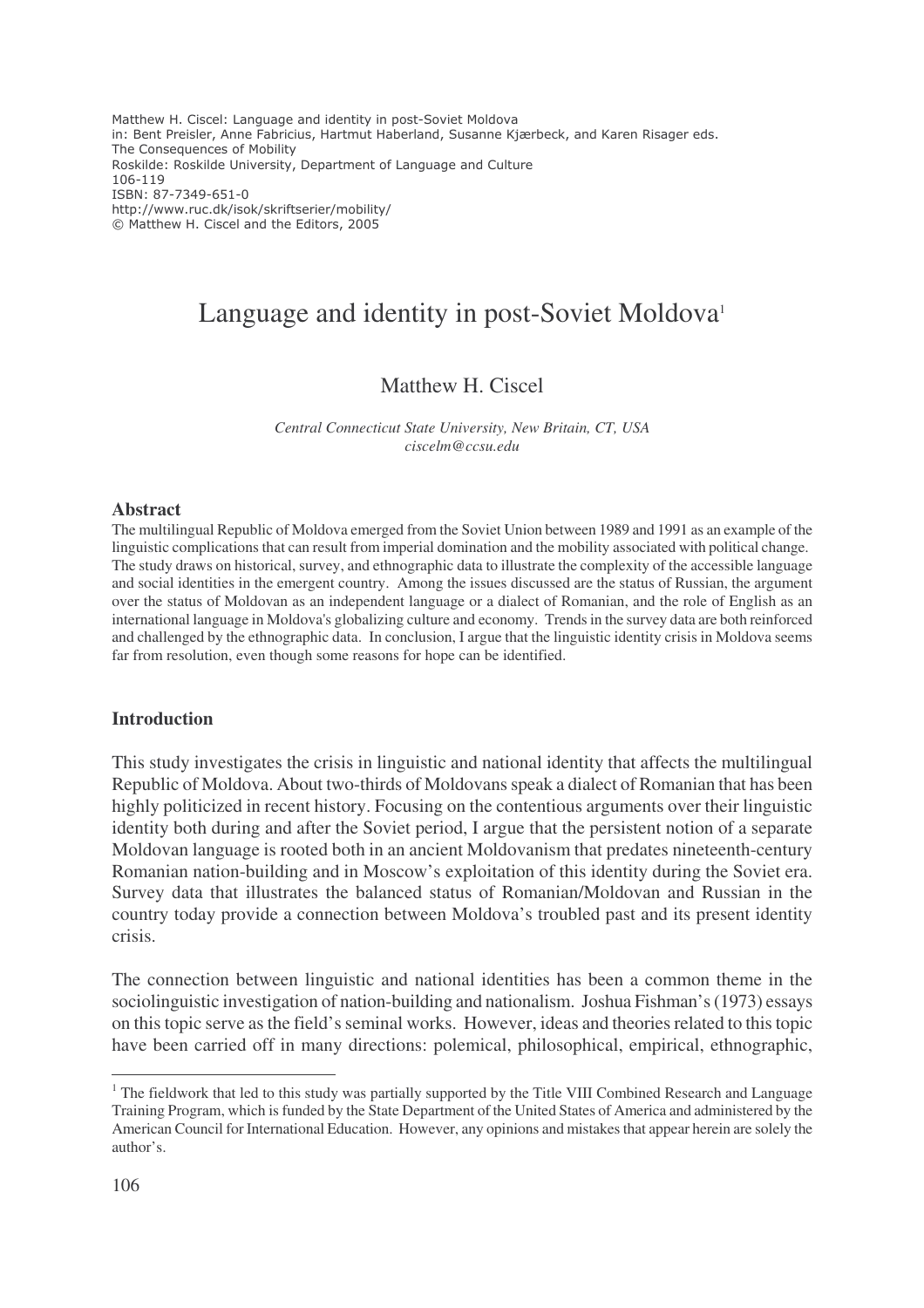Matthew H. Ciscel: Language and identity in post-Soviet Moldova in: Bent Preisler, Anne Fabricius, Hartmut Haberland, Susanne Kjærbeck, and Karen Risager eds. The Consequences of Mobility Roskilde: Roskilde University, Department of Language and Culture 106-119 ISBN: 87-7349-651-0 http://www.ruc.dk/isok/skriftserier/mobility/ © Matthew H. Ciscel and the Editors, 2005

# Language and identity in post-Soviet Moldova<sup>1</sup>

# Matthew H. Ciscel

*Central Connecticut State University, New Britain, CT, USA ciscelm@ccsu.edu*

#### **Abstract**

The multilingual Republic of Moldova emerged from the Soviet Union between 1989 and 1991 as an example of the linguistic complications that can result from imperial domination and the mobility associated with political change. The study draws on historical, survey, and ethnographic data to illustrate the complexity of the accessible language and social identities in the emergent country. Among the issues discussed are the status of Russian, the argument over the status of Moldovan as an independent language or a dialect of Romanian, and the role of English as an international language in Moldova's globalizing culture and economy. Trendsin the survey data are both reinforced and challenged by the ethnographic data. In conclusion, I argue that the linguistic identity crisis in Moldova seems far from resolution, even though some reasons for hope can be identified.

#### **Introduction**

This study investigates the crisis in linguistic and national identity that affects the multilingual Republic of Moldova. About two-thirds of Moldovansspeak a dialect of Romanian that has been highly politicized in recent history. Focusing on the contentious arguments over their linguistic identity both during and after the Soviet period, I argue that the persistent notion of a separate Moldovan language is rooted both in an ancient Moldovanism that predates nineteenth-century Romanian nation-building and in Moscow's exploitation of this identity during the Soviet era. Survey data that illustrates the balanced status of Romanian/Moldovan and Russian in the country today provide a connection between Moldova's troubled past and its present identity crisis.

The connection between linguistic and national identities has been a common theme in the sociolinguistic investigation of nation-building and nationalism. Joshua Fishman's(1973) essays on thistopic serve asthe field'sseminal works. However, ideas and theoriesrelated to thistopic have been carried off in many directions: polemical, philosophical, empirical, ethnographic,

<sup>&</sup>lt;sup>1</sup> The fieldwork that led to this study was partially supported by the Title VIII Combined Research and Language Training Program, which is funded by the State Department of the United States of America and administered by the American Council for International Education. However, any opinions and mistakes that appear herein are solely the author's.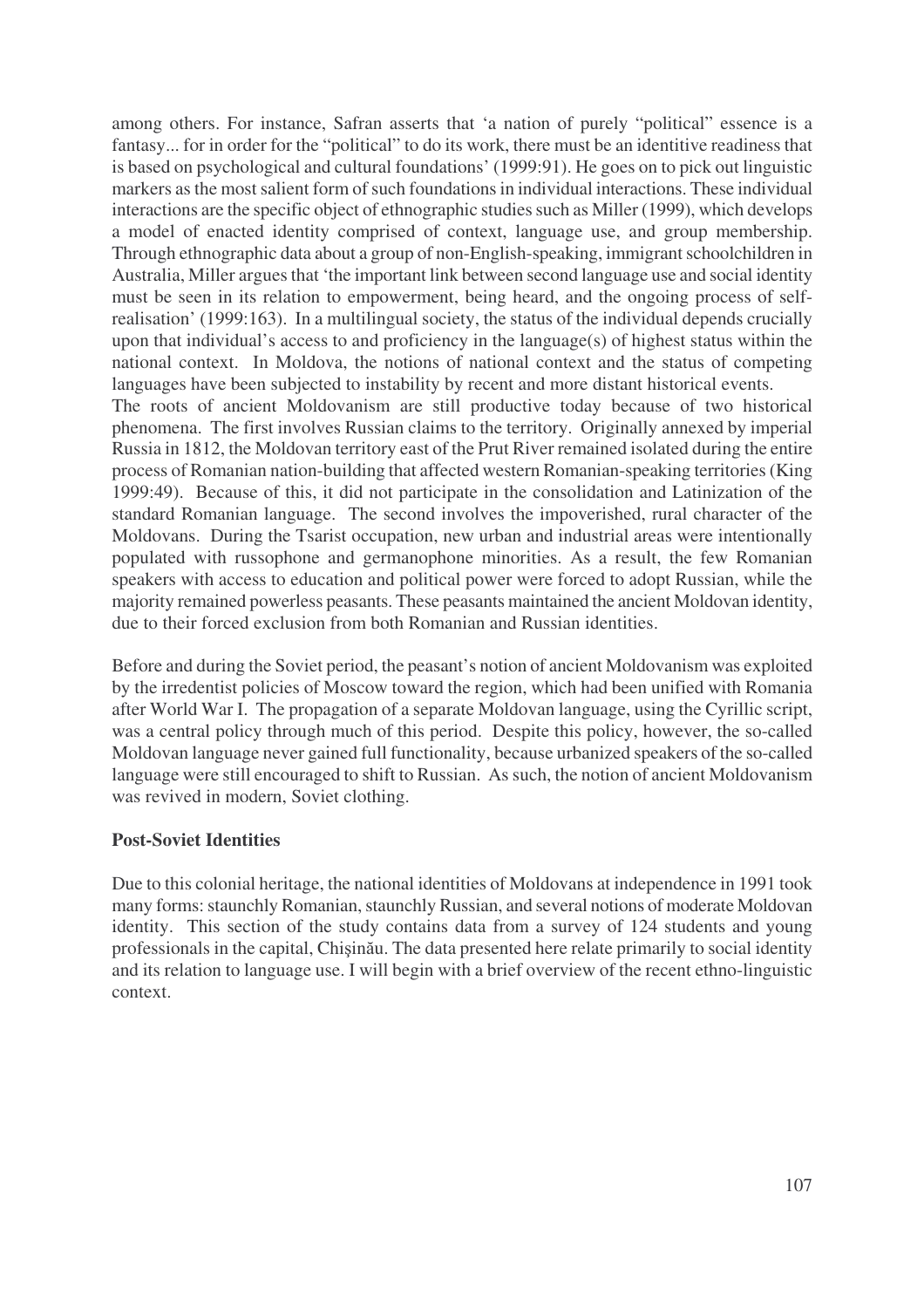among others. For instance, Safran asserts that 'a nation of purely "political" essence is a fantasy... for in order for the "political" to do its work, there must be an identitive readiness that is based on psychological and cultural foundations' (1999:91). He goes on to pick out linguistic markers as the most salient form of such foundations in individual interactions. These individual interactions are the specific object of ethnographic studies such as Miller (1999), which develops a model of enacted identity comprised of context, language use, and group membership. Through ethnographic data about a group of non-English-speaking, immigrant schoolchildren in Australia, Miller argues that 'the important link between second language use and social identity must be seen in its relation to empowerment, being heard, and the ongoing process of selfrealisation' (1999:163). In a multilingual society, the status of the individual depends crucially upon that individual's access to and proficiency in the language(s) of highest status within the national context. In Moldova, the notions of national context and the status of competing languages have been subjected to instability by recent and more distant historical events. The roots of ancient Moldovanism are still productive today because of two historical phenomena. The first involves Russian claims to the territory. Originally annexed by imperial Russia in 1812, the Moldovan territory east of the Prut River remained isolated during the entire process of Romanian nation-building that affected western Romanian-speaking territories(King 1999:49). Because of this, it did not participate in the consolidation and Latinization of the standard Romanian language. The second involves the impoverished, rural character of the Moldovans. During the Tsarist occupation, new urban and industrial areas were intentionally populated with russophone and germanophone minorities. As a result, the few Romanian speakers with access to education and political power were forced to adopt Russian, while the majority remained powerless peasants. These peasants maintained the ancient Moldovan identity, due to their forced exclusion from both Romanian and Russian identities.

Before and during the Soviet period, the peasant's notion of ancient Moldovanism was exploited by the irredentist policies of Moscow toward the region, which had been unified with Romania after World War I. The propagation of a separate Moldovan language, using the Cyrillic script, was a central policy through much of this period. Despite this policy, however, the so-called Moldovan language never gained full functionality, because urbanized speakers of the so-called language were still encouraged to shift to Russian. As such, the notion of ancient Moldovanism was revived in modern, Soviet clothing.

## **Post-Soviet Identities**

Due to this colonial heritage, the national identities of Moldovans at independence in 1991 took many forms: staunchly Romanian, staunchly Russian, and several notions of moderate Moldovan identity. This section of the study contains data from a survey of 124 students and young professionals in the capital, Chișinău. The data presented here relate primarily to social identity and its relation to language use. I will begin with a brief overview of the recent ethno-linguistic context.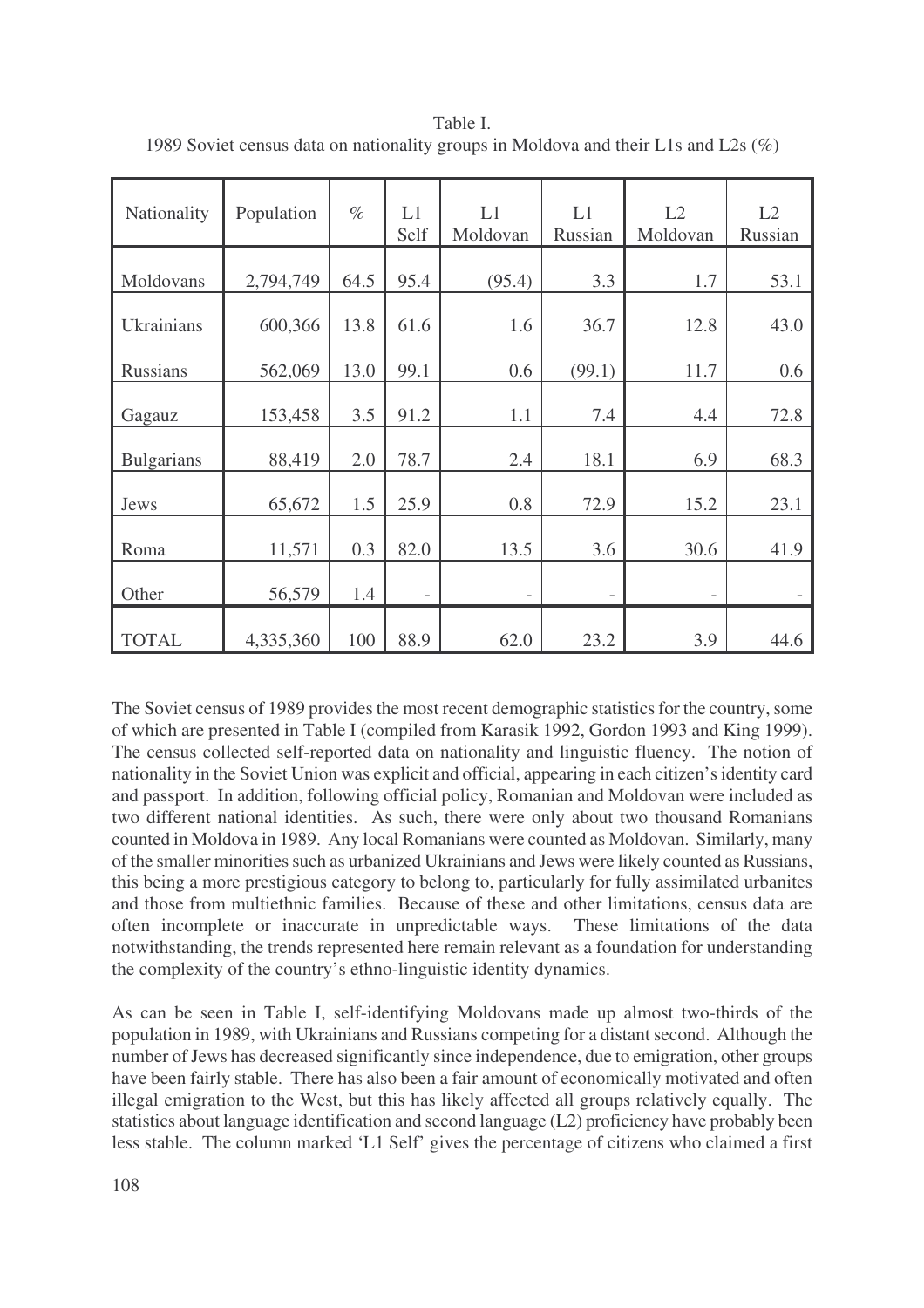| Nationality       | Population | $\%$ | L1<br>Self        | L1<br>Moldovan           | L1<br>Russian | L2<br>Moldovan           | L2<br>Russian |
|-------------------|------------|------|-------------------|--------------------------|---------------|--------------------------|---------------|
| Moldovans         | 2,794,749  | 64.5 | 95.4              | (95.4)                   | 3.3           | 1.7                      | 53.1          |
| <b>Ukrainians</b> | 600,366    | 13.8 | 61.6              | 1.6                      | 36.7          | 12.8                     | 43.0          |
| <b>Russians</b>   | 562,069    | 13.0 | 99.1              | 0.6                      | (99.1)        | 11.7                     | 0.6           |
| Gagauz            | 153,458    | 3.5  | 91.2              | 1.1                      | 7.4           | 4.4                      | 72.8          |
| <b>Bulgarians</b> | 88,419     | 2.0  | 78.7              | 2.4                      | 18.1          | 6.9                      | 68.3          |
| Jews              | 65,672     | 1.5  | 25.9              | 0.8                      | 72.9          | 15.2                     | 23.1          |
| Roma              | 11,571     | 0.3  | 82.0              | 13.5                     | 3.6           | 30.6                     | 41.9          |
| Other             | 56,579     | 1.4  | $\qquad \qquad -$ | $\overline{\phantom{a}}$ | -             | $\overline{\phantom{a}}$ |               |
| <b>TOTAL</b>      | 4,335,360  | 100  | 88.9              | 62.0                     | 23.2          | 3.9                      | 44.6          |

Table I. 1989 Soviet census data on nationality groups in Moldova and their L1s and L2s (%)

The Soviet census of 1989 provides the most recent demographic statistics for the country, some of which are presented in Table I (compiled from Karasik 1992, Gordon 1993 and King 1999). The census collected self-reported data on nationality and linguistic fluency. The notion of nationality in the Soviet Union was explicit and official, appearing in each citizen'sidentity card and passport. In addition, following official policy, Romanian and Moldovan were included as two different national identities. As such, there were only about two thousand Romanians counted in Moldova in 1989. Any local Romanians were counted as Moldovan. Similarly, many of the smaller minorities such as urbanized Ukrainians and Jews were likely counted as Russians, this being a more prestigious category to belong to, particularly for fully assimilated urbanites and those from multiethnic families. Because of these and other limitations, census data are often incomplete or inaccurate in unpredictable ways. These limitations of the data notwithstanding, the trends represented here remain relevant as a foundation for understanding the complexity of the country's ethno-linguistic identity dynamics.

As can be seen in Table I, self-identifying Moldovans made up almost two-thirds of the population in 1989, with Ukrainians and Russians competing for a distant second. Although the number of Jews has decreased significantly since independence, due to emigration, other groups have been fairly stable. There has also been a fair amount of economically motivated and often illegal emigration to the West, but this has likely affected all groups relatively equally. The statistics about language identification and second language (L2) proficiency have probably been less stable. The column marked 'L1 Self' gives the percentage of citizens who claimed a first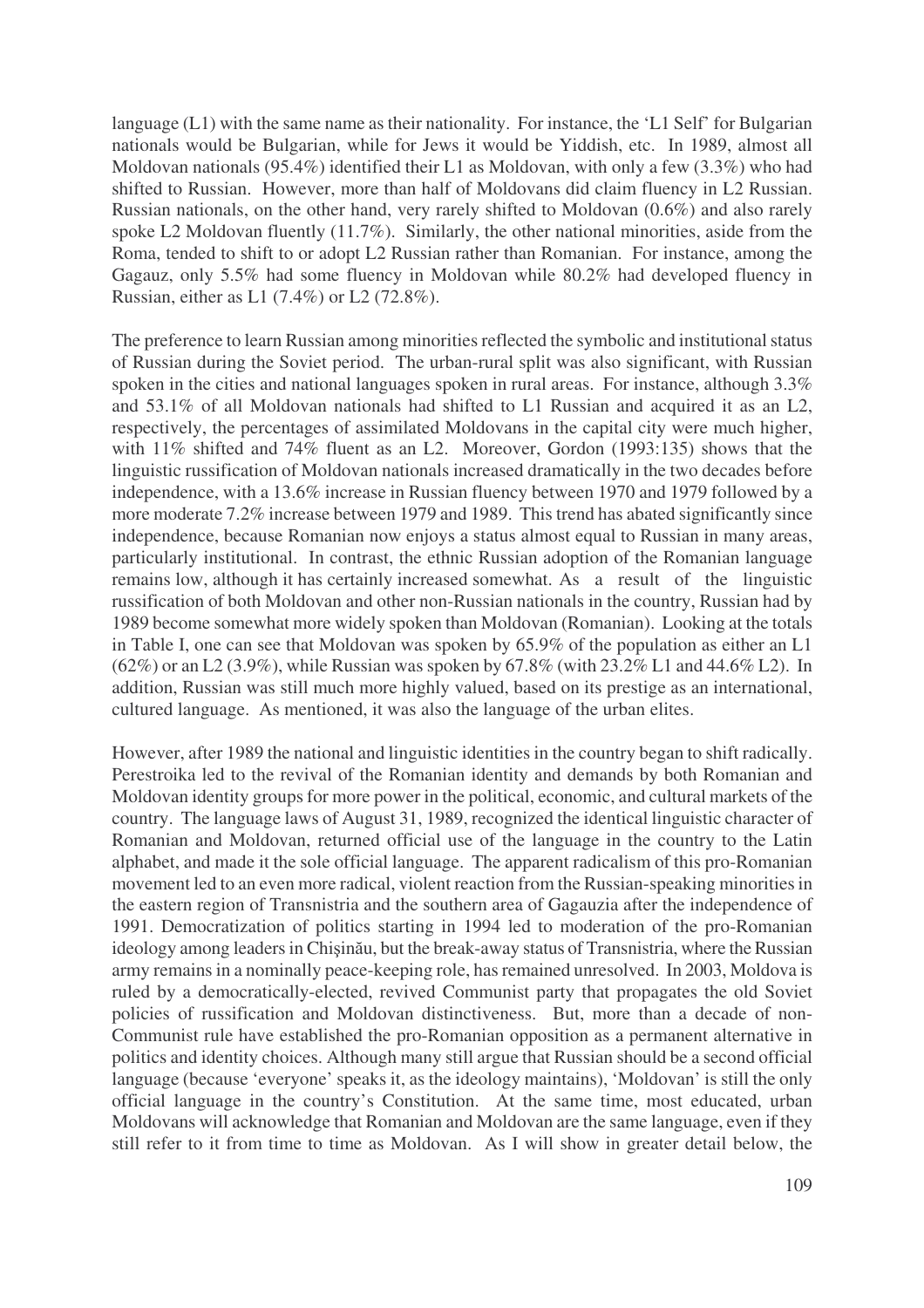language (L1) with the same name as their nationality. For instance, the 'L1 Self' for Bulgarian nationals would be Bulgarian, while for Jews it would be Yiddish, etc. In 1989, almost all Moldovan nationals (95.4%) identified their L1 as Moldovan, with only a few (3.3%) who had shifted to Russian. However, more than half of Moldovans did claim fluency in L2 Russian. Russian nationals, on the other hand, very rarely shifted to Moldovan (0.6%) and also rarely spoke L2 Moldovan fluently (11.7%). Similarly, the other national minorities, aside from the Roma, tended to shift to or adopt L2 Russian rather than Romanian. For instance, among the Gagauz, only 5.5% had some fluency in Moldovan while 80.2% had developed fluency in Russian, either as L1 (7.4%) or L2 (72.8%).

The preference to learn Russian among minorities reflected the symbolic and institutional status of Russian during the Soviet period. The urban-rural split was also significant, with Russian spoken in the cities and national languages spoken in rural areas. For instance, although 3.3% and 53.1% of all Moldovan nationals had shifted to L1 Russian and acquired it as an L2, respectively, the percentages of assimilated Moldovans in the capital city were much higher, with 11% shifted and 74% fluent as an L2. Moreover, Gordon (1993:135) shows that the linguistic russification of Moldovan nationals increased dramatically in the two decades before independence, with a 13.6% increase in Russian fluency between 1970 and 1979 followed by a more moderate 7.2% increase between 1979 and 1989. This trend has abated significantly since independence, because Romanian now enjoys a status almost equal to Russian in many areas, particularly institutional. In contrast, the ethnic Russian adoption of the Romanian language remains low, although it has certainly increased somewhat. As a result of the linguistic russification of both Moldovan and other non-Russian nationals in the country, Russian had by 1989 become somewhat more widely spoken than Moldovan (Romanian). Looking at the totals in Table I, one can see that Moldovan was spoken by 65.9% of the population as either an L1 (62%) or an L2 (3.9%), while Russian was spoken by 67.8% (with 23.2% L1 and 44.6% L2). In addition, Russian was still much more highly valued, based on its prestige as an international, cultured language. As mentioned, it was also the language of the urban elites.

However, after 1989 the national and linguistic identities in the country began to shift radically. Perestroika led to the revival of the Romanian identity and demands by both Romanian and Moldovan identity groups for more power in the political, economic, and cultural markets of the country. The language laws of August 31, 1989, recognized the identical linguistic character of Romanian and Moldovan, returned official use of the language in the country to the Latin alphabet, and made it the sole official language. The apparent radicalism of this pro-Romanian movement led to an even more radical, violent reaction from the Russian-speaking minorities in the eastern region of Transnistria and the southern area of Gagauzia after the independence of 1991. Democratization of politics starting in 1994 led to moderation of the pro-Romanian ideology among leaders in Chișinău, but the break-away status of Transnistria, where the Russian army remainsin a nominally peace-keeping role, hasremained unresolved. In 2003, Moldova is ruled by a democratically-elected, revived Communist party that propagates the old Soviet policies of russification and Moldovan distinctiveness. But, more than a decade of non-Communist rule have established the pro-Romanian opposition as a permanent alternative in politics and identity choices. Although many still argue that Russian should be a second official language (because 'everyone' speaks it, as the ideology maintains), 'Moldovan' is still the only official language in the country's Constitution. At the same time, most educated, urban Moldovans will acknowledge that Romanian and Moldovan are the same language, even if they still refer to it from time to time as Moldovan. As I will show in greater detail below, the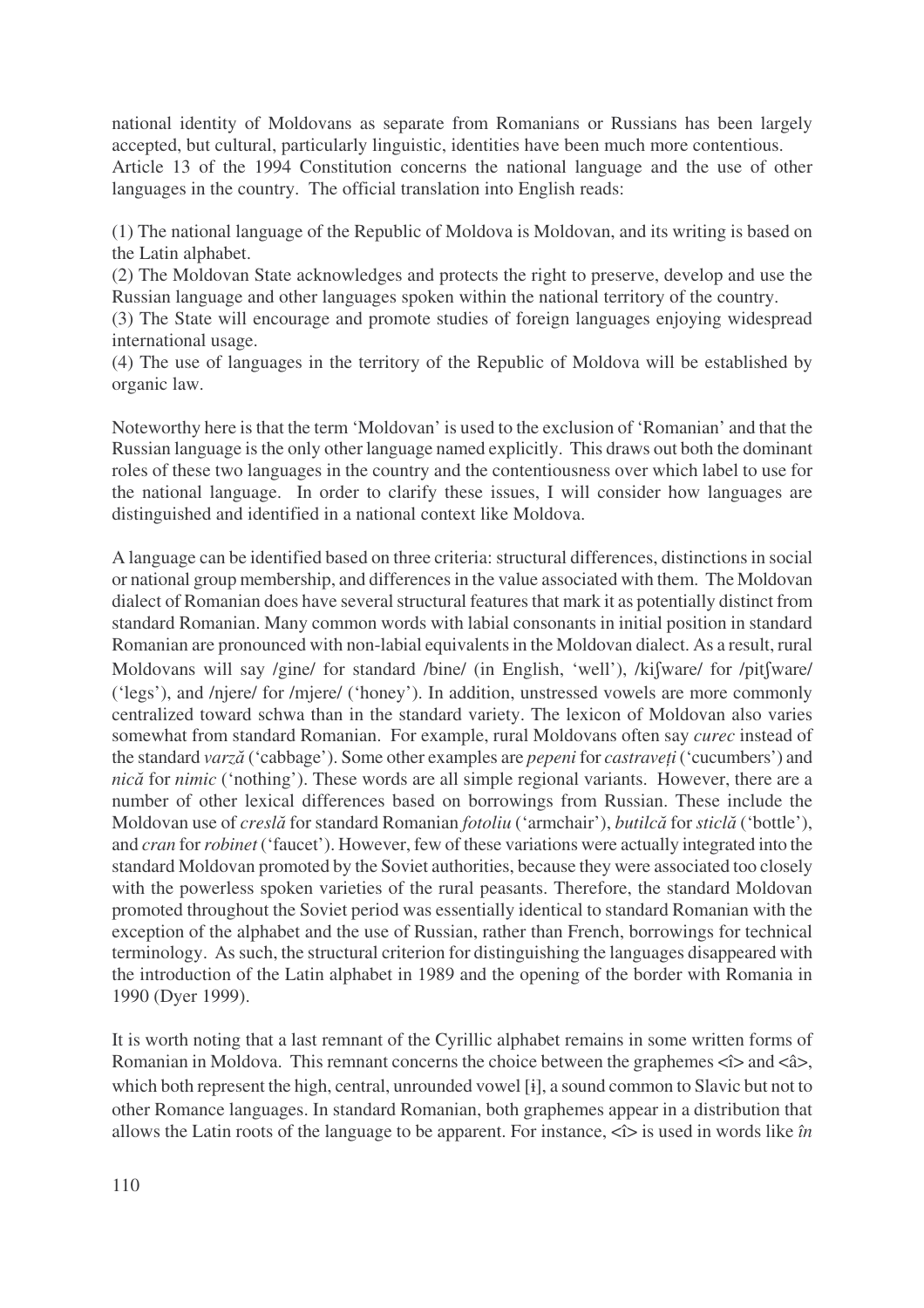national identity of Moldovans as separate from Romanians or Russians has been largely accepted, but cultural, particularly linguistic, identities have been much more contentious. Article 13 of the 1994 Constitution concerns the national language and the use of other languages in the country. The official translation into English reads:

(1) The national language of the Republic of Moldova is Moldovan, and its writing is based on the Latin alphabet.

(2) The Moldovan State acknowledges and protects the right to preserve, develop and use the Russian language and other languages spoken within the national territory of the country.

(3) The State will encourage and promote studies of foreign languages enjoying widespread international usage.

(4) The use of languages in the territory of the Republic of Moldova will be established by organic law.

Noteworthy here isthat the term 'Moldovan' is used to the exclusion of 'Romanian' and that the Russian language isthe only other language named explicitly. This draws out both the dominant roles of these two languages in the country and the contentiousness over which label to use for the national language. In order to clarify these issues, I will consider how languages are distinguished and identified in a national context like Moldova.

A language can be identified based on three criteria: structural differences, distinctions in social or national group membership, and differencesin the value associated with them. The Moldovan dialect of Romanian does have several structural features that mark it as potentially distinct from standard Romanian. Many common words with labial consonants in initial position in standard Romanian are pronounced with non-labial equivalentsin the Moldovan dialect. As a result, rural Moldovans will say /gine/ for standard /bine/ (in English, 'well'), /kifware/ for /pitfware/ ('legs'), and /njere/ for /mjere/ ('honey'). In addition, unstressed vowels are more commonly centralized toward schwa than in the standard variety. The lexicon of Moldovan also varies somewhat from standard Romanian. For example, rural Moldovans often say *curec* instead of the standard *varză* ('cabbage'). Some other examples are *pepeni* for *castraveți* ('cucumbers') and *nică* for *nimic* ('nothing'). These words are all simple regional variants. However, there are a number of other lexical differences based on borrowings from Russian. These include the Moldovan use of *creslă* for standard Romanian *fotoliu* ('armchair'), *butilcă* for *sticlă* ('bottle'), and *cran* for*robinet* ('faucet'). However, few of these variations were actually integrated into the standard Moldovan promoted by the Soviet authorities, because they were associated too closely with the powerless spoken varieties of the rural peasants. Therefore, the standard Moldovan promoted throughout the Soviet period was essentially identical to standard Romanian with the exception of the alphabet and the use of Russian, rather than French, borrowings for technical terminology. Assuch, the structural criterion for distinguishing the languages disappeared with the introduction of the Latin alphabet in 1989 and the opening of the border with Romania in 1990 (Dyer 1999).

It is worth noting that a last remnant of the Cyrillic alphabet remains in some written forms of Romanian in Moldova. This remnant concerns the choice between the graphemes  $\langle i \rangle$  and  $\langle i \rangle$ , which both represent the high, central, unrounded vowel [i], a sound common to Slavic but not to other Romance languages. In standard Romanian, both graphemes appear in a distribution that allows the Latin roots of the language to be apparent. For instance,  $\langle \hat{\mathbf{i}} \rangle$  is used in words like *în*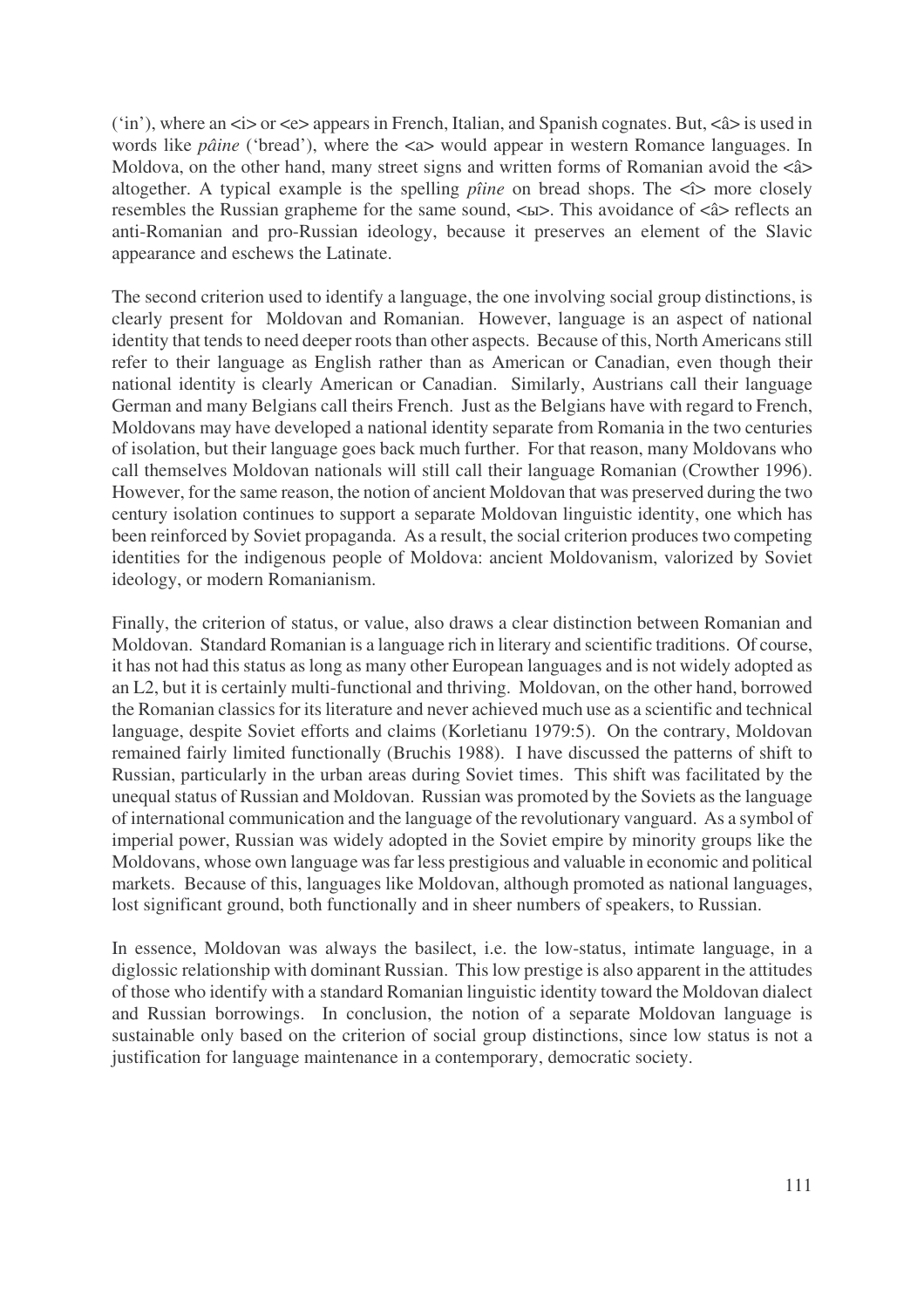('in'), where an  $\langle \sin \theta \rangle$  or  $\langle \cos \theta \rangle$  appears in French, Italian, and Spanish cognates. But,  $\langle \sin \theta \rangle$  is used in words like *pâine* ('bread'), where the <a> would appear in western Romance languages. In Moldova, on the other hand, many street signs and written forms of Romanian avoid the  $\langle$  a> altogether. A typical example is the spelling *pîine* on bread shops. The  $\triangleleft$  more closely resembles the Russian grapheme for the same sound,  $\langle$ ы>. This avoidance of  $\langle$ â> reflects an anti-Romanian and pro-Russian ideology, because it preserves an element of the Slavic appearance and eschews the Latinate.

The second criterion used to identify a language, the one involving social group distinctions, is clearly present for Moldovan and Romanian. However, language is an aspect of national identity that tends to need deeper roots than other aspects. Because of this, North Americans still refer to their language as English rather than as American or Canadian, even though their national identity is clearly American or Canadian. Similarly, Austrians call their language German and many Belgians call theirs French. Just as the Belgians have with regard to French, Moldovans may have developed a national identity separate from Romania in the two centuries of isolation, but their language goes back much further. For that reason, many Moldovans who call themselves Moldovan nationals will still call their language Romanian (Crowther 1996). However, for the same reason, the notion of ancient Moldovan that was preserved during the two century isolation continues to support a separate Moldovan linguistic identity, one which has been reinforced by Soviet propaganda. As a result, the social criterion produces two competing identities for the indigenous people of Moldova: ancient Moldovanism, valorized by Soviet ideology, or modern Romanianism.

Finally, the criterion of status, or value, also draws a clear distinction between Romanian and Moldovan. Standard Romanian is a language rich in literary and scientific traditions. Of course, it has not had this status as long as many other European languages and is not widely adopted as an L2, but it is certainly multi-functional and thriving. Moldovan, on the other hand, borrowed the Romanian classics for its literature and never achieved much use as a scientific and technical language, despite Soviet efforts and claims (Korletianu 1979:5). On the contrary, Moldovan remained fairly limited functionally (Bruchis 1988). I have discussed the patterns of shift to Russian, particularly in the urban areas during Soviet times. This shift was facilitated by the unequal status of Russian and Moldovan. Russian was promoted by the Soviets as the language of international communication and the language of the revolutionary vanguard. As a symbol of imperial power, Russian was widely adopted in the Soviet empire by minority groups like the Moldovans, whose own language wasfar less prestigious and valuable in economic and political markets. Because of this, languages like Moldovan, although promoted as national languages, lost significant ground, both functionally and in sheer numbers of speakers, to Russian.

In essence, Moldovan was always the basilect, i.e. the low-status, intimate language, in a diglossic relationship with dominant Russian. This low prestige is also apparent in the attitudes of those who identify with a standard Romanian linguistic identity toward the Moldovan dialect and Russian borrowings. In conclusion, the notion of a separate Moldovan language is sustainable only based on the criterion of social group distinctions, since low status is not a justification for language maintenance in a contemporary, democratic society.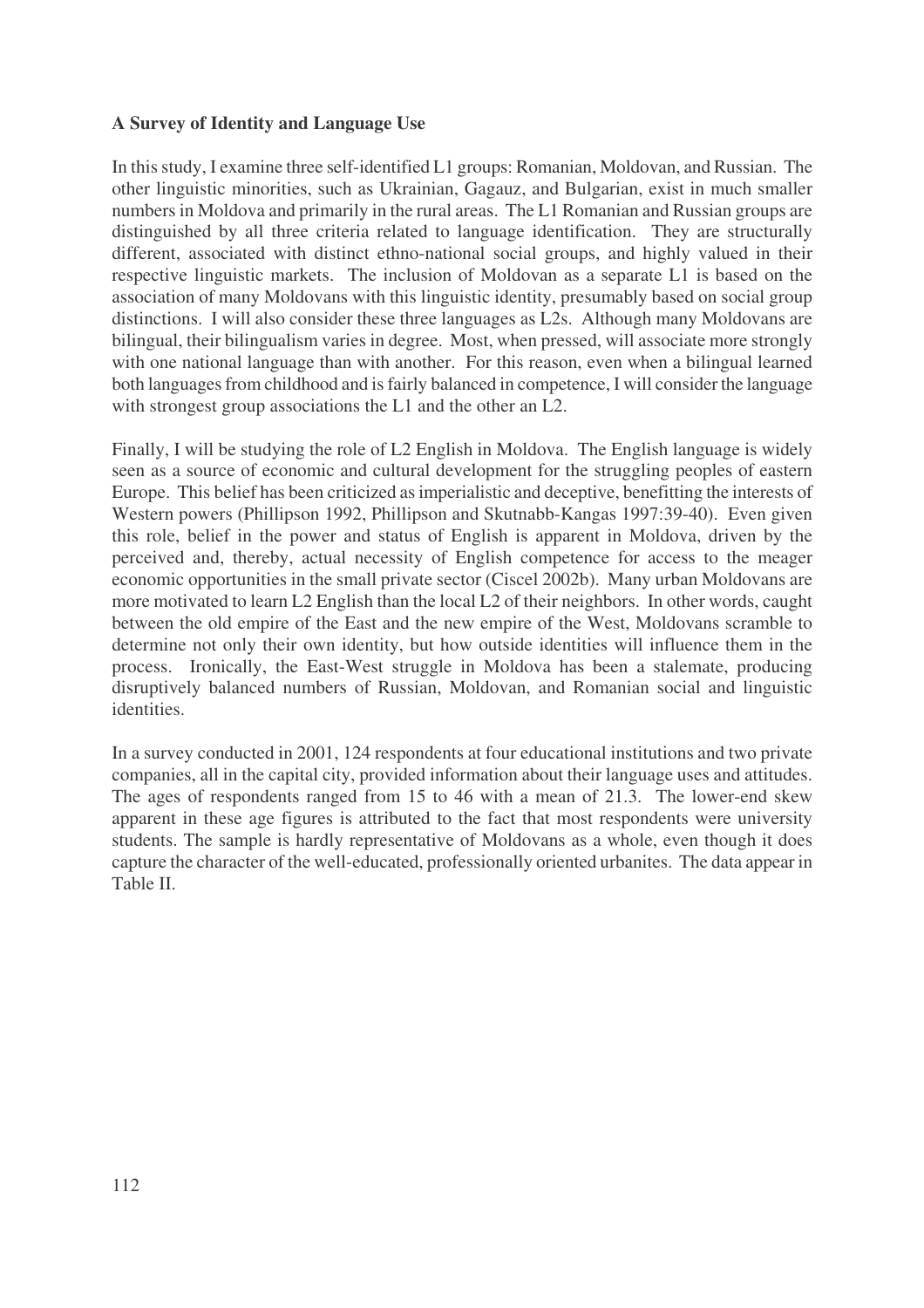## **A Survey of Identity and Language Use**

In thisstudy, I examine three self-identified L1 groups: Romanian, Moldovan, and Russian. The other linguistic minorities, such as Ukrainian, Gagauz, and Bulgarian, exist in much smaller numbers in Moldova and primarily in the rural areas. The L1 Romanian and Russian groups are distinguished by all three criteria related to language identification. They are structurally different, associated with distinct ethno-national social groups, and highly valued in their respective linguistic markets. The inclusion of Moldovan as a separate L1 is based on the association of many Moldovans with this linguistic identity, presumably based on social group distinctions. I will also consider these three languages as L2s. Although many Moldovans are bilingual, their bilingualism varies in degree. Most, when pressed, will associate more strongly with one national language than with another. For this reason, even when a bilingual learned both languages from childhood and is fairly balanced in competence, I will consider the language with strongest group associations the L1 and the other an L2.

Finally, I will be studying the role of L2 English in Moldova. The English language is widely seen as a source of economic and cultural development for the struggling peoples of eastern Europe. This belief has been criticized asimperialistic and deceptive, benefitting the interests of Western powers (Phillipson 1992, Phillipson and Skutnabb-Kangas 1997:39-40). Even given this role, belief in the power and status of English is apparent in Moldova, driven by the perceived and, thereby, actual necessity of English competence for access to the meager economic opportunities in the small private sector (Ciscel 2002b). Many urban Moldovans are more motivated to learn L2 English than the local L2 of their neighbors. In other words, caught between the old empire of the East and the new empire of the West, Moldovans scramble to determine not only their own identity, but how outside identities will influence them in the process. Ironically, the East-West struggle in Moldova has been a stalemate, producing disruptively balanced numbers of Russian, Moldovan, and Romanian social and linguistic identities.

In a survey conducted in 2001, 124 respondents at four educational institutions and two private companies, all in the capital city, provided information about their language uses and attitudes. The ages of respondents ranged from 15 to 46 with a mean of 21.3. The lower-end skew apparent in these age figures is attributed to the fact that most respondents were university students. The sample is hardly representative of Moldovans as a whole, even though it does capture the character of the well-educated, professionally oriented urbanites. The data appear in Table II.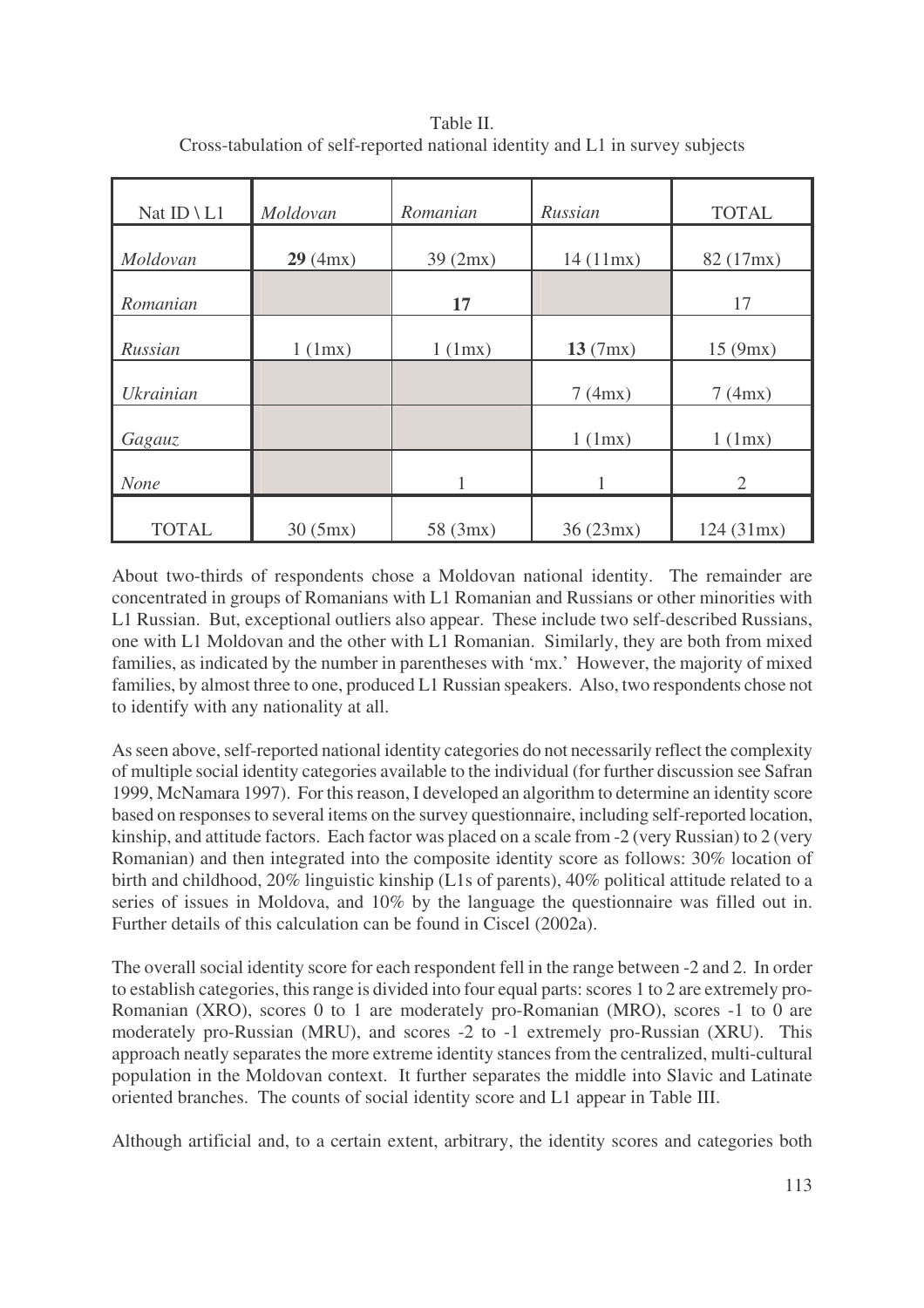| Nat ID \ $L1$    | Moldovan          | Romanian          | Russian           | <b>TOTAL</b>      |
|------------------|-------------------|-------------------|-------------------|-------------------|
| Moldovan         | 29 (4mx)          | 39(2mx)           | 14(11mx)          | 82 (17mx)         |
| Romanian         |                   | 17                |                   | 17                |
| Russian          | $1 \text{ (1mx)}$ | $1 \text{ (1mx)}$ | 13 (7mx)          | 15(9mx)           |
| <b>Ukrainian</b> |                   |                   | 7(4mx)            | 7(4mx)            |
| Gagauz           |                   |                   | $1 \text{ (1mx)}$ | $1 \text{ (1mx)}$ |
| <b>None</b>      |                   | 1                 | 1                 | $\overline{2}$    |
| <b>TOTAL</b>     | 30(5mx)           | 58(3mx)           | 36(23mx)          | 124(31mx)         |

Table II. Cross-tabulation of self-reported national identity and L1 in survey subjects

About two-thirds of respondents chose a Moldovan national identity. The remainder are concentrated in groups of Romanians with L1 Romanian and Russians or other minorities with L1 Russian. But, exceptional outliers also appear. These include two self-described Russians, one with L1 Moldovan and the other with L1 Romanian. Similarly, they are both from mixed families, as indicated by the number in parentheses with 'mx.' However, the majority of mixed families, by almost three to one, produced L1 Russian speakers. Also, two respondents chose not to identify with any nationality at all.

As seen above, self-reported national identity categories do not necessarily reflect the complexity of multiple social identity categories available to the individual (for further discussion see Safran 1999, McNamara 1997). For thisreason, I developed an algorithm to determine an identity score based on responses to several items on the survey questionnaire, including self-reported location, kinship, and attitude factors. Each factor was placed on a scale from -2 (very Russian) to 2 (very Romanian) and then integrated into the composite identity score as follows: 30% location of birth and childhood, 20% linguistic kinship (L1s of parents), 40% political attitude related to a series of issues in Moldova, and 10% by the language the questionnaire was filled out in. Further details of this calculation can be found in Ciscel (2002a).

The overall social identity score for each respondent fell in the range between -2 and 2. In order to establish categories, this range is divided into four equal parts: scores 1 to 2 are extremely pro-Romanian (XRO), scores 0 to 1 are moderately pro-Romanian (MRO), scores -1 to 0 are moderately pro-Russian (MRU), and scores -2 to -1 extremely pro-Russian (XRU). This approach neatly separates the more extreme identity stances from the centralized, multi-cultural population in the Moldovan context. It further separates the middle into Slavic and Latinate oriented branches. The counts of social identity score and L1 appear in Table III.

Although artificial and, to a certain extent, arbitrary, the identity scores and categories both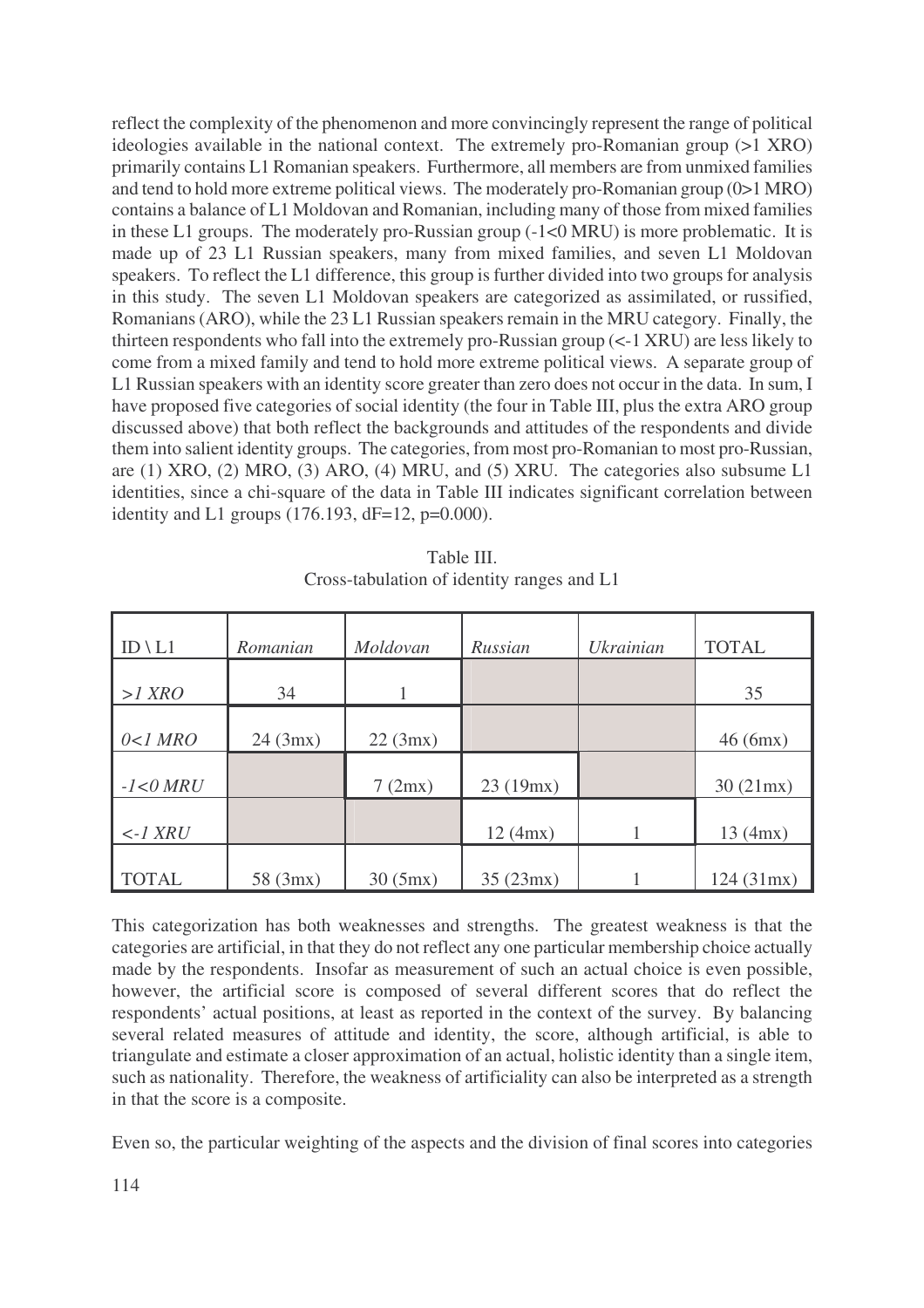reflect the complexity of the phenomenon and more convincingly represent the range of political ideologies available in the national context. The extremely pro-Romanian group (>1 XRO) primarily contains L1 Romanian speakers. Furthermore, all members are from unmixed families and tend to hold more extreme political views. The moderately pro-Romanian group (0>1 MRO) contains a balance of L1 Moldovan and Romanian, including many of those from mixed families in these L1 groups. The moderately pro-Russian group (-1<0 MRU) is more problematic. It is made up of 23 L1 Russian speakers, many from mixed families, and seven L1 Moldovan speakers. To reflect the L1 difference, this group is further divided into two groups for analysis in this study. The seven L1 Moldovan speakers are categorized as assimilated, or russified, Romanians (ARO), while the 23 L1 Russian speakers remain in the MRU category. Finally, the thirteen respondents who fall into the extremely pro-Russian group (<-1 XRU) are less likely to come from a mixed family and tend to hold more extreme political views. A separate group of L1 Russian speakers with an identity score greater than zero does not occur in the data. In sum, I have proposed five categories of social identity (the four in Table III, plus the extra ARO group discussed above) that both reflect the backgrounds and attitudes of the respondents and divide them into salient identity groups. The categories, from most pro-Romanian to most pro-Russian, are (1) XRO, (2) MRO, (3) ARO, (4) MRU, and (5) XRU. The categories also subsume L1 identities, since a chi-square of the data in Table III indicates significant correlation between identity and L1 groups  $(176.193, dF=12, p=0.000)$ .

| $ID \backslash L1$        | Romanian | Moldovan | Russian  | <b>Ukrainian</b> | <b>TOTAL</b> |
|---------------------------|----------|----------|----------|------------------|--------------|
|                           |          |          |          |                  |              |
| $>1$ XRO                  | 34       |          |          |                  | 35           |
|                           |          |          |          |                  |              |
| $0<1$ MRO                 | 24 (3mx) | 22 (3mx) |          |                  | 46(6mx)      |
|                           |          |          |          |                  |              |
| $-1 < 0$ $MRU$            |          | 7(2mx)   | 23(19mx) |                  | 30(21mx)     |
|                           |          |          |          |                  |              |
| $\leftarrow$ <i>I XRU</i> |          |          | 12 (4mx) |                  | 13 (4mx)     |
|                           |          |          |          |                  |              |
| <b>TOTAL</b>              | 58(3mx)  | 30(5mx)  | 35(23mx) |                  | 124(31mx)    |

Table III. Cross-tabulation of identity ranges and L1

This categorization has both weaknesses and strengths. The greatest weakness is that the categories are artificial, in that they do not reflect any one particular membership choice actually made by the respondents. Insofar as measurement of such an actual choice is even possible, however, the artificial score is composed of several different scores that do reflect the respondents' actual positions, at least as reported in the context of the survey. By balancing several related measures of attitude and identity, the score, although artificial, is able to triangulate and estimate a closer approximation of an actual, holistic identity than a single item, such as nationality. Therefore, the weakness of artificiality can also be interpreted as a strength in that the score is a composite.

Even so, the particular weighting of the aspects and the division of final scores into categories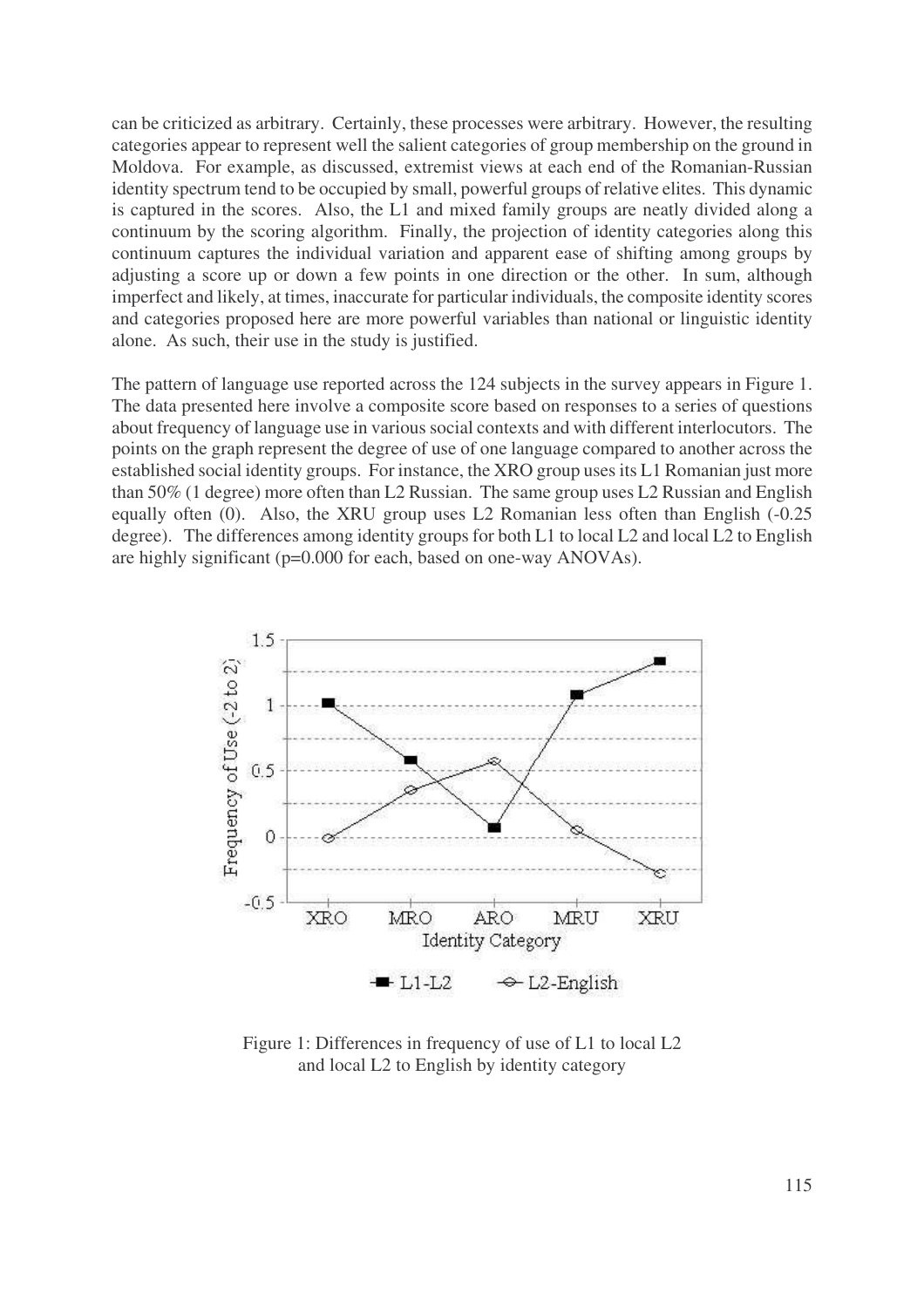can be criticized as arbitrary. Certainly, these processes were arbitrary. However, the resulting categories appear to represent well the salient categories of group membership on the ground in Moldova. For example, as discussed, extremist views at each end of the Romanian-Russian identity spectrum tend to be occupied by small, powerful groups of relative elites. This dynamic is captured in the scores. Also, the L1 and mixed family groups are neatly divided along a continuum by the scoring algorithm. Finally, the projection of identity categories along this continuum captures the individual variation and apparent ease of shifting among groups by adjusting a score up or down a few points in one direction or the other. In sum, although imperfect and likely, at times, inaccurate for particular individuals, the composite identity scores and categories proposed here are more powerful variables than national or linguistic identity alone. As such, their use in the study is justified.

The pattern of language use reported across the 124 subjects in the survey appears in Figure 1. The data presented here involve a composite score based on responses to a series of questions about frequency of language use in various social contexts and with different interlocutors. The points on the graph represent the degree of use of one language compared to another across the established social identity groups. For instance, the XRO group usesits L1 Romanian just more than 50% (1 degree) more often than L2 Russian. The same group uses L2 Russian and English equally often (0). Also, the XRU group uses L2 Romanian less often than English (-0.25 degree). The differences among identity groups for both L1 to local L2 and local L2 to English are highly significant (p=0.000 for each, based on one-way ANOVAs).



Figure 1: Differences in frequency of use of L1 to local L2 and local L2 to English by identity category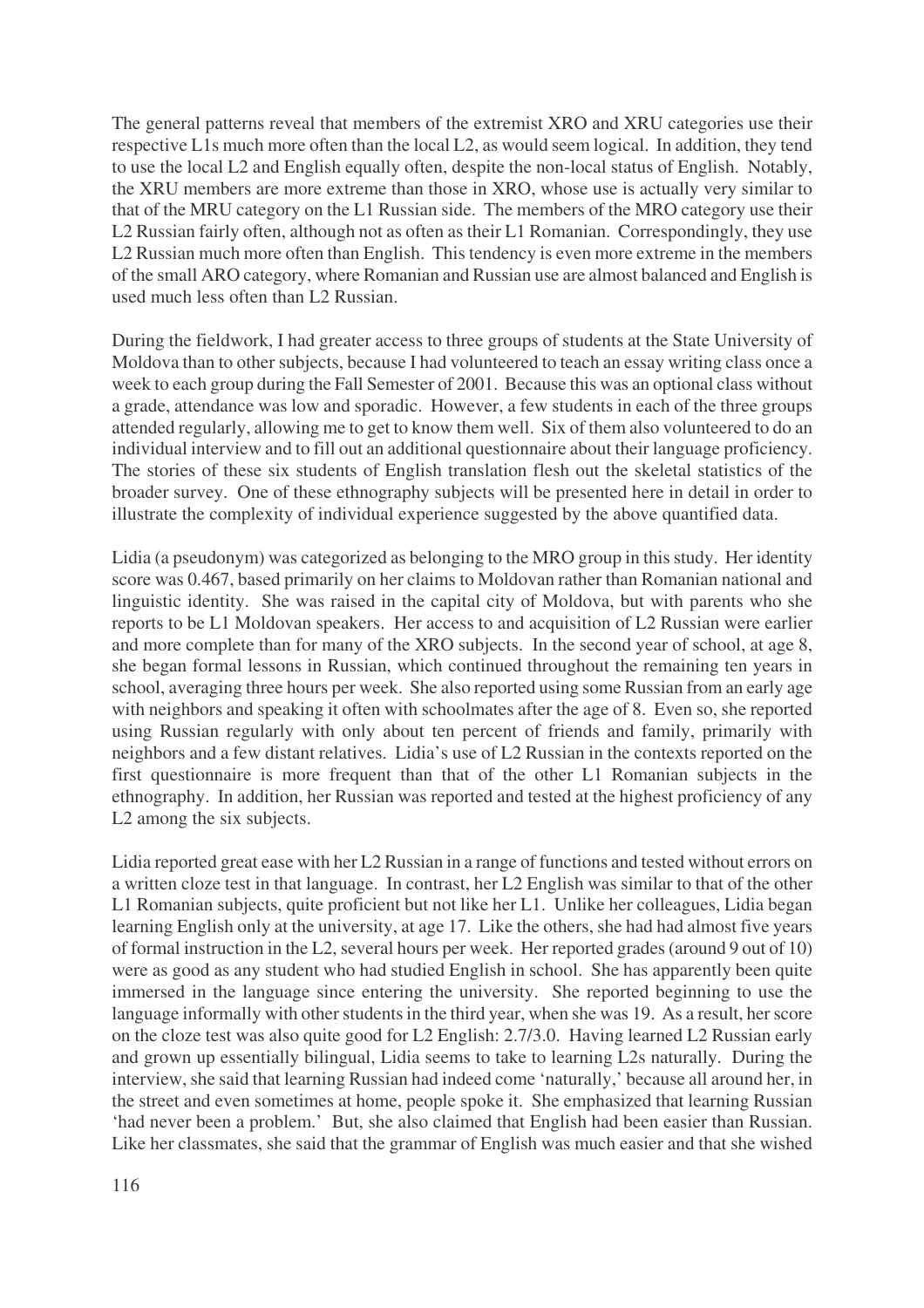The general patterns reveal that members of the extremist XRO and XRU categories use their respective L1s much more often than the local L2, as would seem logical. In addition, they tend to use the local L2 and English equally often, despite the non-local status of English. Notably, the XRU members are more extreme than those in XRO, whose use is actually very similar to that of the MRU category on the L1 Russian side. The members of the MRO category use their L2 Russian fairly often, although not as often as their L1 Romanian. Correspondingly, they use L2 Russian much more often than English. This tendency is even more extreme in the members of the small ARO category, where Romanian and Russian use are almost balanced and English is used much less often than L2 Russian.

During the fieldwork, I had greater access to three groups of students at the State University of Moldova than to other subjects, because I had volunteered to teach an essay writing class once a week to each group during the Fall Semester of 2001. Because this was an optional class without a grade, attendance was low and sporadic. However, a few students in each of the three groups attended regularly, allowing me to get to know them well. Six of them also volunteered to do an individual interview and to fill out an additional questionnaire about their language proficiency. The stories of these six students of English translation flesh out the skeletal statistics of the broader survey. One of these ethnography subjects will be presented here in detail in order to illustrate the complexity of individual experience suggested by the above quantified data.

Lidia (a pseudonym) was categorized as belonging to the MRO group in this study. Her identity score was 0.467, based primarily on her claims to Moldovan rather than Romanian national and linguistic identity. She was raised in the capital city of Moldova, but with parents who she reports to be L1 Moldovan speakers. Her access to and acquisition of L2 Russian were earlier and more complete than for many of the XRO subjects. In the second year of school, at age 8, she began formal lessons in Russian, which continued throughout the remaining ten years in school, averaging three hours per week. She also reported using some Russian from an early age with neighbors and speaking it often with schoolmates after the age of 8. Even so, she reported using Russian regularly with only about ten percent of friends and family, primarily with neighbors and a few distant relatives. Lidia's use of L2 Russian in the contexts reported on the first questionnaire is more frequent than that of the other L1 Romanian subjects in the ethnography. In addition, her Russian was reported and tested at the highest proficiency of any L2 among the six subjects.

Lidia reported great ease with her L2 Russian in a range of functions and tested without errors on a written cloze test in that language. In contrast, her L2 English was similar to that of the other L1 Romanian subjects, quite proficient but not like her L1. Unlike her colleagues, Lidia began learning English only at the university, at age 17. Like the others, she had had almost five years of formal instruction in the L2, several hours per week. Her reported grades (around 9 out of 10) were as good as any student who had studied English in school. She has apparently been quite immersed in the language since entering the university. She reported beginning to use the language informally with other students in the third year, when she was 19. As a result, her score on the cloze test was also quite good for L2 English: 2.7/3.0. Having learned L2 Russian early and grown up essentially bilingual, Lidia seems to take to learning L2s naturally. During the interview, she said that learning Russian had indeed come 'naturally,' because all around her, in the street and even sometimes at home, people spoke it. She emphasized that learning Russian 'had never been a problem.' But, she also claimed that English had been easier than Russian. Like her classmates, she said that the grammar of English was much easier and that she wished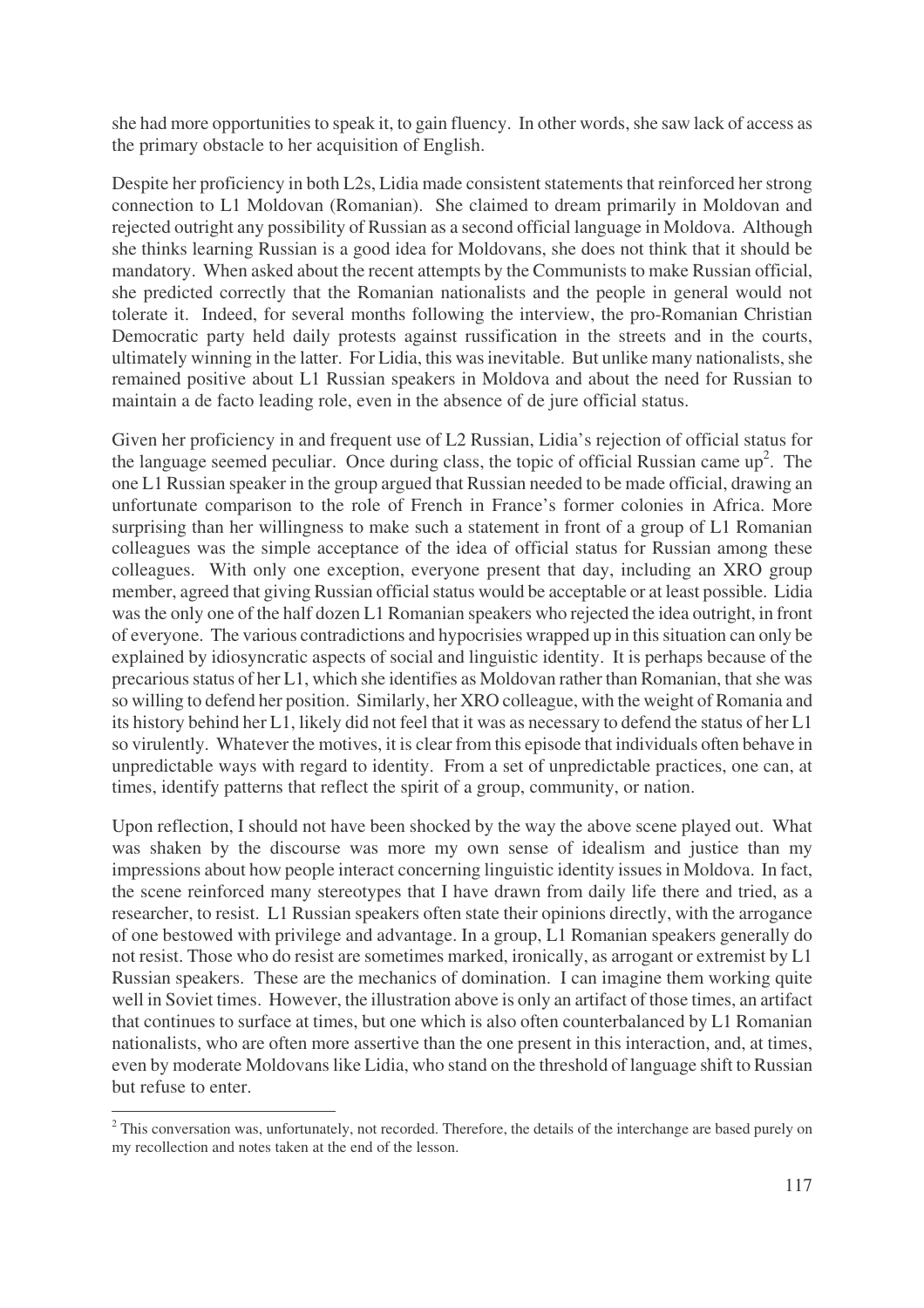she had more opportunities to speak it, to gain fluency. In other words, she saw lack of access as the primary obstacle to her acquisition of English.

Despite her proficiency in both L2s, Lidia made consistent statements that reinforced her strong connection to L1 Moldovan (Romanian). She claimed to dream primarily in Moldovan and rejected outright any possibility of Russian as a second official language in Moldova. Although she thinks learning Russian is a good idea for Moldovans, she does not think that it should be mandatory. When asked about the recent attempts by the Communists to make Russian official, she predicted correctly that the Romanian nationalists and the people in general would not tolerate it. Indeed, for several months following the interview, the pro-Romanian Christian Democratic party held daily protests against russification in the streets and in the courts, ultimately winning in the latter. For Lidia, this was inevitable. But unlike many nationalists, she remained positive about L1 Russian speakers in Moldova and about the need for Russian to maintain a de facto leading role, even in the absence of de jure official status.

Given her proficiency in and frequent use of L2 Russian, Lidia's rejection of official status for the language seemed peculiar. Once during class, the topic of official Russian came  $up^2$ . The one L1 Russian speaker in the group argued that Russian needed to be made official, drawing an unfortunate comparison to the role of French in France's former colonies in Africa. More surprising than her willingness to make such a statement in front of a group of L1 Romanian colleagues was the simple acceptance of the idea of official status for Russian among these colleagues. With only one exception, everyone present that day, including an XRO group member, agreed that giving Russian official status would be acceptable or at least possible. Lidia wasthe only one of the half dozen L1 Romanian speakers who rejected the idea outright, in front of everyone. The various contradictions and hypocrisies wrapped up in thissituation can only be explained by idiosyncratic aspects of social and linguistic identity. It is perhaps because of the precarious status of her L1, which she identifies as Moldovan rather than Romanian, that she was so willing to defend her position. Similarly, her XRO colleague, with the weight of Romania and its history behind her L1, likely did not feel that it was as necessary to defend the status of her L1 so virulently. Whatever the motives, it is clear from this episode that individuals often behave in unpredictable ways with regard to identity. From a set of unpredictable practices, one can, at times, identify patterns that reflect the spirit of a group, community, or nation.

Upon reflection, I should not have been shocked by the way the above scene played out. What was shaken by the discourse was more my own sense of idealism and justice than my impressions about how people interact concerning linguistic identity issuesin Moldova. In fact, the scene reinforced many stereotypes that I have drawn from daily life there and tried, as a researcher, to resist. L1 Russian speakers often state their opinions directly, with the arrogance of one bestowed with privilege and advantage. In a group, L1 Romanian speakers generally do not resist. Those who do resist are sometimes marked, ironically, as arrogant or extremist by L1 Russian speakers. These are the mechanics of domination. I can imagine them working quite well in Soviet times. However, the illustration above is only an artifact of those times, an artifact that continues to surface at times, but one which is also often counterbalanced by L1 Romanian nationalists, who are often more assertive than the one present in this interaction, and, at times, even by moderate Moldovans like Lidia, who stand on the threshold of language shift to Russian but refuse to enter.

<sup>&</sup>lt;sup>2</sup> This conversation was, unfortunately, not recorded. Therefore, the details of the interchange are based purely on my recollection and notes taken at the end of the lesson.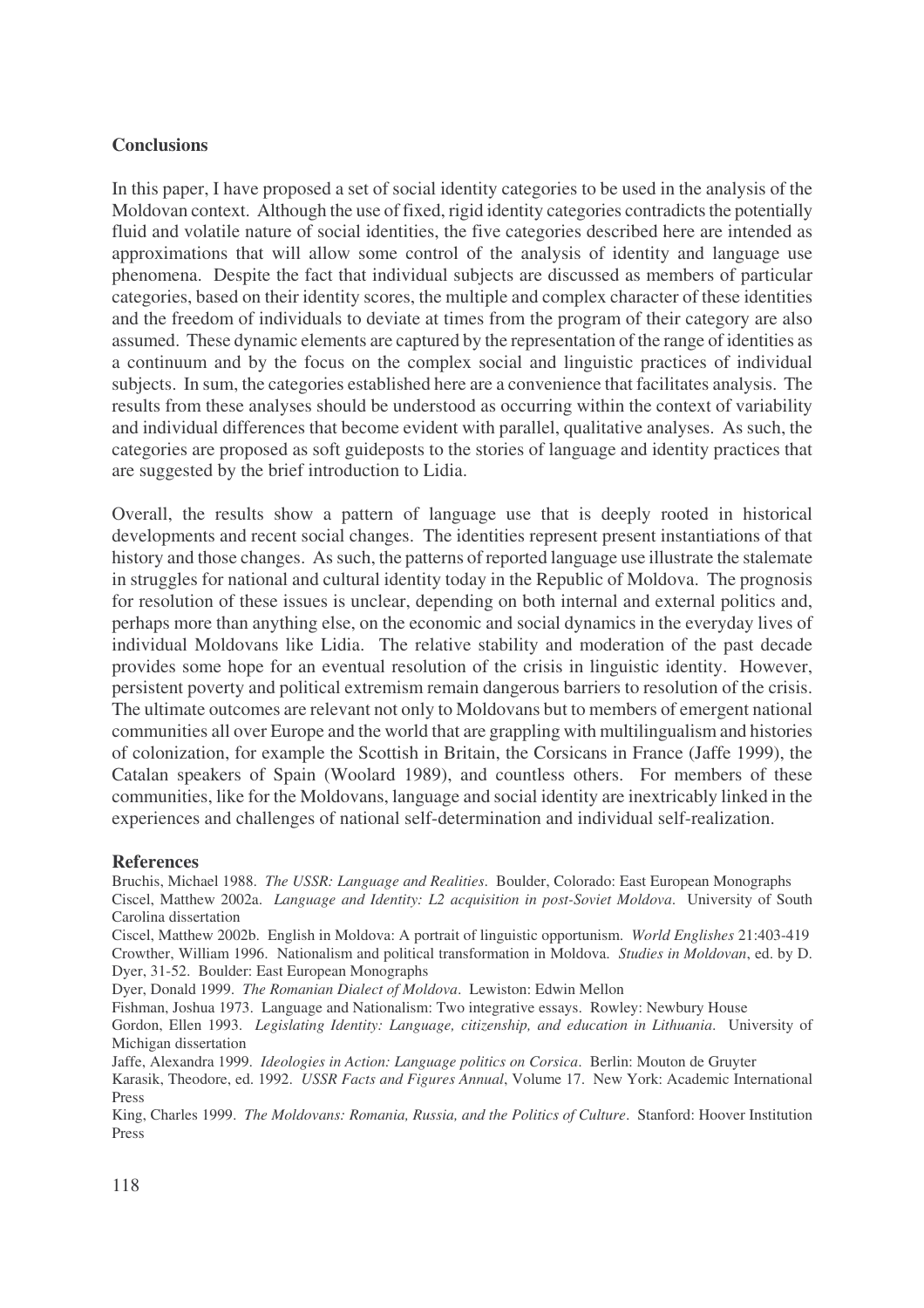## **Conclusions**

In this paper, I have proposed a set of social identity categories to be used in the analysis of the Moldovan context. Although the use of fixed, rigid identity categories contradicts the potentially fluid and volatile nature of social identities, the five categories described here are intended as approximations that will allow some control of the analysis of identity and language use phenomena. Despite the fact that individual subjects are discussed as members of particular categories, based on their identity scores, the multiple and complex character of these identities and the freedom of individuals to deviate at times from the program of their category are also assumed. These dynamic elements are captured by the representation of the range of identities as a continuum and by the focus on the complex social and linguistic practices of individual subjects. In sum, the categories established here are a convenience that facilitates analysis. The results from these analyses should be understood as occurring within the context of variability and individual differences that become evident with parallel, qualitative analyses. As such, the categories are proposed as soft guideposts to the stories of language and identity practices that are suggested by the brief introduction to Lidia.

Overall, the results show a pattern of language use that is deeply rooted in historical developments and recent social changes. The identities represent present instantiations of that history and those changes. As such, the patterns of reported language use illustrate the stalemate in struggles for national and cultural identity today in the Republic of Moldova. The prognosis for resolution of these issues is unclear, depending on both internal and external politics and, perhaps more than anything else, on the economic and social dynamics in the everyday lives of individual Moldovans like Lidia. The relative stability and moderation of the past decade provides some hope for an eventual resolution of the crisis in linguistic identity. However, persistent poverty and political extremism remain dangerous barriers to resolution of the crisis. The ultimate outcomes are relevant not only to Moldovans but to members of emergent national communities all over Europe and the world that are grappling with multilingualism and histories of colonization, for example the Scottish in Britain, the Corsicans in France (Jaffe 1999), the Catalan speakers of Spain (Woolard 1989), and countless others. For members of these communities, like for the Moldovans, language and social identity are inextricably linked in the experiences and challenges of national self-determination and individual self-realization.

#### **References**

Bruchis, Michael 1988. *The USSR: Language and Realities*. Boulder, Colorado: East European Monographs Ciscel, Matthew 2002a. *Language and Identity: L2 acquisition in post-Soviet Moldova*. University of South Carolina dissertation

Ciscel, Matthew 2002b. English in Moldova: A portrait of linguistic opportunism. *World Englishes* 21:403-419 Crowther, William 1996. Nationalism and political transformation in Moldova. *Studies in Moldovan*, ed. by D. Dyer, 31-52. Boulder: East European Monographs

Dyer, Donald 1999. *The Romanian Dialect of Moldova*. Lewiston: Edwin Mellon

Fishman, Joshua 1973. Language and Nationalism: Two integrative essays. Rowley: Newbury House

Gordon, Ellen 1993. *Legislating Identity: Language, citizenship, and education in Lithuania*. University of Michigan dissertation

Jaffe, Alexandra 1999. *Ideologies in Action: Language politics on Corsica*. Berlin: Mouton de Gruyter

Karasik, Theodore, ed. 1992. *USSR Facts and Figures Annual*, Volume 17. New York: Academic International Press

King, Charles 1999. *The Moldovans: Romania, Russia, and the Politics of Culture*. Stanford: Hoover Institution Press